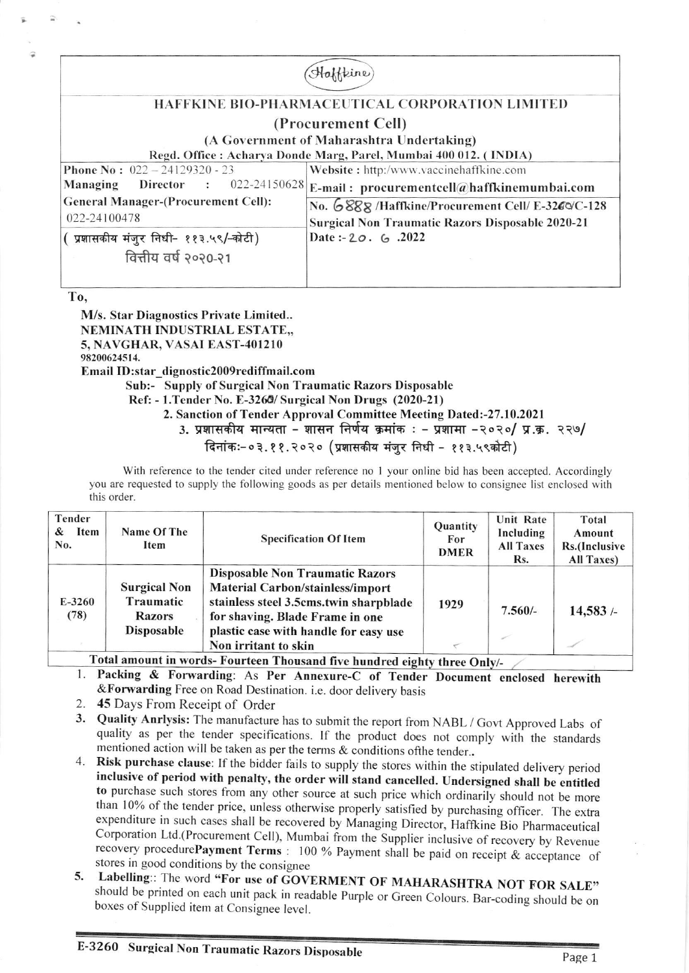| feine                                                  |                                                                   |  |  |  |  |  |
|--------------------------------------------------------|-------------------------------------------------------------------|--|--|--|--|--|
| <b>HAFFKINE BIO-PHARMACEUTICAL CORPORATION LIMITED</b> |                                                                   |  |  |  |  |  |
| (Procurement Cell)                                     |                                                                   |  |  |  |  |  |
| (A Government of Maharashtra Undertaking)              |                                                                   |  |  |  |  |  |
|                                                        | Regd. Office : Acharya Donde Marg, Parel, Mumbai 400 012. (INDIA) |  |  |  |  |  |
| <b>Phone No:</b> $022 - 24129320 - 23$                 | Website: http:/www.vaccinehaffkine.com                            |  |  |  |  |  |
| Director : 022-24150628<br>Managing                    | E-mail: procurementcell@haffkinemumbai.com                        |  |  |  |  |  |
| <b>General Manager-(Procurement Cell):</b>             | No. 6888 /Haffkine/Procurement Cell/ E-3260/C-128                 |  |  |  |  |  |
| 022-24100478                                           | <b>Surgical Non Traumatic Razors Disposable 2020-21</b>           |  |  |  |  |  |
| प्रशासकीय मंजुर निधी- ११३.५९/-कोटी)                    | Date: $-20.6$ . 2022                                              |  |  |  |  |  |
| वित्तीय वर्ष २०२०-२१                                   |                                                                   |  |  |  |  |  |
|                                                        |                                                                   |  |  |  |  |  |

To.

M/s. Star Diagnostics Private Limited.. **NEMINATH INDUSTRIAL ESTATE...** 5. NAVGHAR, VASAI EAST-401210 98200624514.

Email ID:star dignostic2009rediffmail.com

Sub:- Supply of Surgical Non Traumatic Razors Disposable

Ref: - 1. Tender No. E-3260/ Surgical Non Drugs (2020-21)

2. Sanction of Tender Approval Committee Meeting Dated:-27.10.2021

3. प्रशासकीय मान्यता - शासन निर्णय क्रमांक : - प्रशामा -२०२०/ प्र.क्र. २२७/

दिनांकः-०३.११.२०२० (प्रशासकीय मंजूर निधी - ११३.५९कोटी)

With reference to the tender cited under reference no 1 your online bid has been accepted. Accordingly you are requested to supply the following goods as per details mentioned below to consignee list enclosed with this order.

| Tender<br>Item<br>&<br>No. | Name Of The<br>Item                                                    | <b>Specification Of Item</b>                                                                                                                                                                                                    | Quantity<br>For<br><b>DMER</b> | Unit Rate<br>Including<br><b>All Taxes</b><br>Rs. | Total<br>Amount<br>Rs.(Inclusive<br>All Taxes) |
|----------------------------|------------------------------------------------------------------------|---------------------------------------------------------------------------------------------------------------------------------------------------------------------------------------------------------------------------------|--------------------------------|---------------------------------------------------|------------------------------------------------|
| $E-3260$<br>(78)           | <b>Surgical Non</b><br>Traumatic<br><b>Razors</b><br><b>Disposable</b> | <b>Disposable Non Traumatic Razors</b><br><b>Material Carbon/stainless/import</b><br>stainless steel 3.5cms.twin sharpblade<br>for shaving. Blade Frame in one<br>plastic case with handle for easy use<br>Non irritant to skin | 1929                           | $7.560/-$                                         | 14,583/                                        |

Fotal amount in words- Fourteen Thousand five hundred eighty three Only/-

1. Packing & Forwarding: As Per Annexure-C of Tender Document enclosed herewith & Forwarding Free on Road Destination. i.e. door delivery basis

- 2. 45 Days From Receipt of Order
- 3. Quality Anrlysis: The manufacture has to submit the report from NABL / Govt Approved Labs of quality as per the tender specifications. If the product does not comply with the standards mentioned action will be taken as per the terms & conditions of the tender..
- 4. Risk purchase clause: If the bidder fails to supply the stores within the stipulated delivery period inclusive of period with penalty, the order will stand cancelled. Undersigned shall be entitled to purchase such stores from any other source at such price which ordinarily should not be more than 10% of the tender price, unless otherwise properly satisfied by purchasing officer. The extra expenditure in such cases shall be recovered by Managing Director, Haffkine Bio Pharmaceutical Corporation Ltd.(Procurement Cell), Mumbai from the Supplier inclusive of recovery by Revenue recovery procedurePayment Terms : 100 % Payment shall be paid on receipt & acceptance of stores in good conditions by the consignee
- Labelling:: The word "For use of GOVERMENT OF MAHARASHTRA NOT FOR SALE" 5. should be printed on each unit pack in readable Purple or Green Colours. Bar-coding should be on boxes of Supplied item at Consignee level.